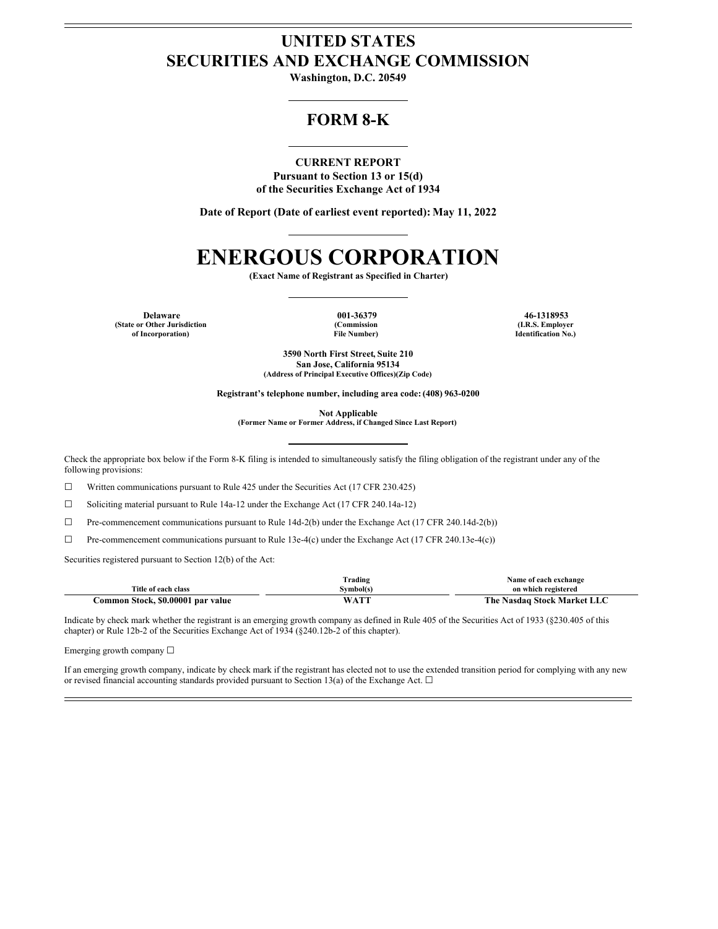### **UNITED STATES SECURITIES AND EXCHANGE COMMISSION**

**Washington, D.C. 20549**

### **FORM 8-K**

#### **CURRENT REPORT Pursuant to Section 13 or 15(d) of the Securities Exchange Act of 1934**

**Date of Report (Date of earliest event reported): May 11, 2022**

### **ENERGOUS CORPORATION**

**(Exact Name of Registrant as Specified in Charter)**

**Delaware 001-36379 46-1318953 (State or Other Jurisdiction of Incorporation)**

**(Commission File Number)**

**(I.R.S. Employer Identification No.)**

**3590 North First Street, Suite 210 San Jose, California 95134 (Address of Principal Executive Offices)(Zip Code)**

**Registrant's telephone number, including area code: (408) 963-0200**

**Not Applicable**

**(Former Name or Former Address, if Changed Since Last Report)**

Check the appropriate box below if the Form 8-K filing is intended to simultaneously satisfy the filing obligation of the registrant under any of the following provisions:

☐ Written communications pursuant to Rule 425 under the Securities Act (17 CFR 230.425)

☐ Soliciting material pursuant to Rule 14a-12 under the Exchange Act (17 CFR 240.14a-12)

☐ Pre-commencement communications pursuant to Rule 14d-2(b) under the Exchange Act (17 CFR 240.14d-2(b))

☐ Pre-commencement communications pursuant to Rule 13e-4(c) under the Exchange Act (17 CFR 240.13e-4(c))

Securities registered pursuant to Section 12(b) of the Act:

|                                            | frading    | Name of each exchange                  |
|--------------------------------------------|------------|----------------------------------------|
| Title of each<br>class                     | švmbol(s   | on which registered                    |
| \$0.00001<br>par value<br>`ommon<br>Stock. | $\sqrt{2}$ | The .<br>Nasdag Stock<br>Market L<br>. |

Indicate by check mark whether the registrant is an emerging growth company as defined in Rule 405 of the Securities Act of 1933 (§230.405 of this chapter) or Rule 12b-2 of the Securities Exchange Act of 1934 (§240.12b-2 of this chapter).

Emerging growth company ☐

If an emerging growth company, indicate by check mark if the registrant has elected not to use the extended transition period for complying with any new or revised financial accounting standards provided pursuant to Section 13(a) of the Exchange Act.  $\Box$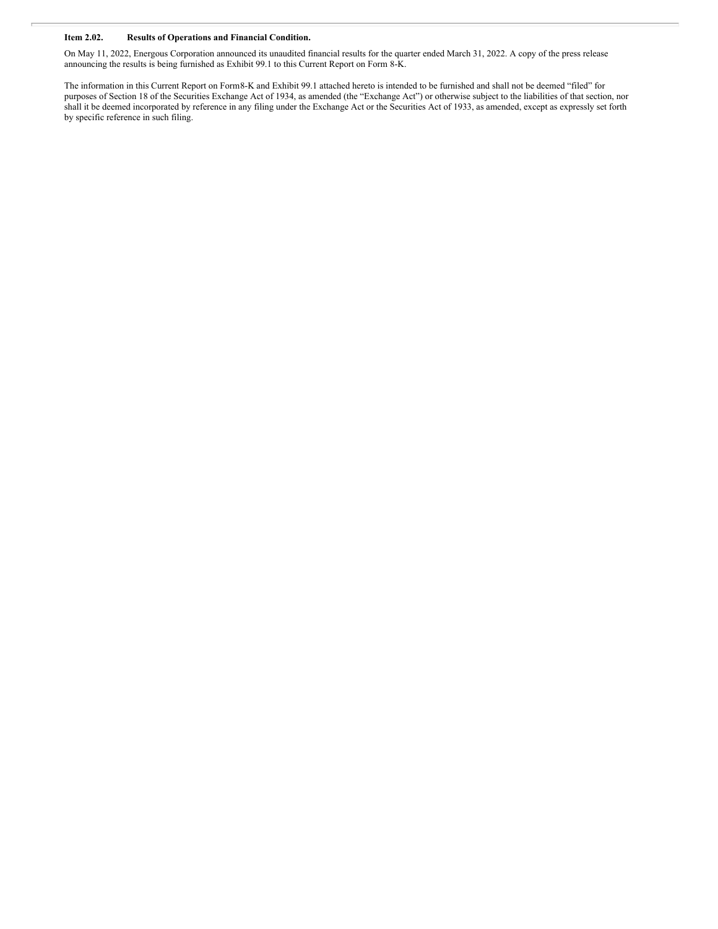#### **Item 2.02. Results of Operations and Financial Condition.**

On May 11, 2022, Energous Corporation announced its unaudited financial results for the quarter ended March 31, 2022. A copy of the press release announcing the results is being furnished as Exhibit 99.1 to this Current Report on Form 8-K.

The information in this Current Report on Form8-K and Exhibit 99.1 attached hereto is intended to be furnished and shall not be deemed "filed" for purposes of Section 18 of the Securities Exchange Act of 1934, as amended (the "Exchange Act") or otherwise subject to the liabilities of that section, nor shall it be deemed incorporated by reference in any filing under the Exchange Act or the Securities Act of 1933, as amended, except as expressly set forth by specific reference in such filing.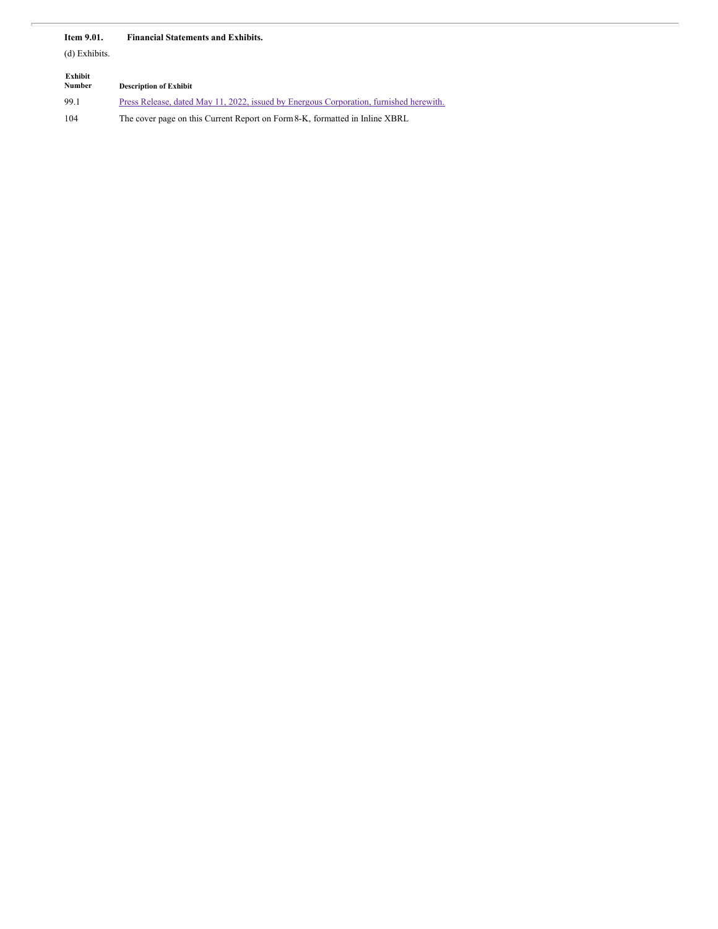#### **Item 9.01. Financial Statements and Exhibits.**

(d) Exhibits.

| Exhibit<br>Number | <b>Description of Exhibit</b>                                                          |
|-------------------|----------------------------------------------------------------------------------------|
| 99.1              | Press Release, dated May 11, 2022, issued by Energous Corporation, furnished herewith. |
| 104               | The cover page on this Current Report on Form 8-K, formatted in Inline XBRL            |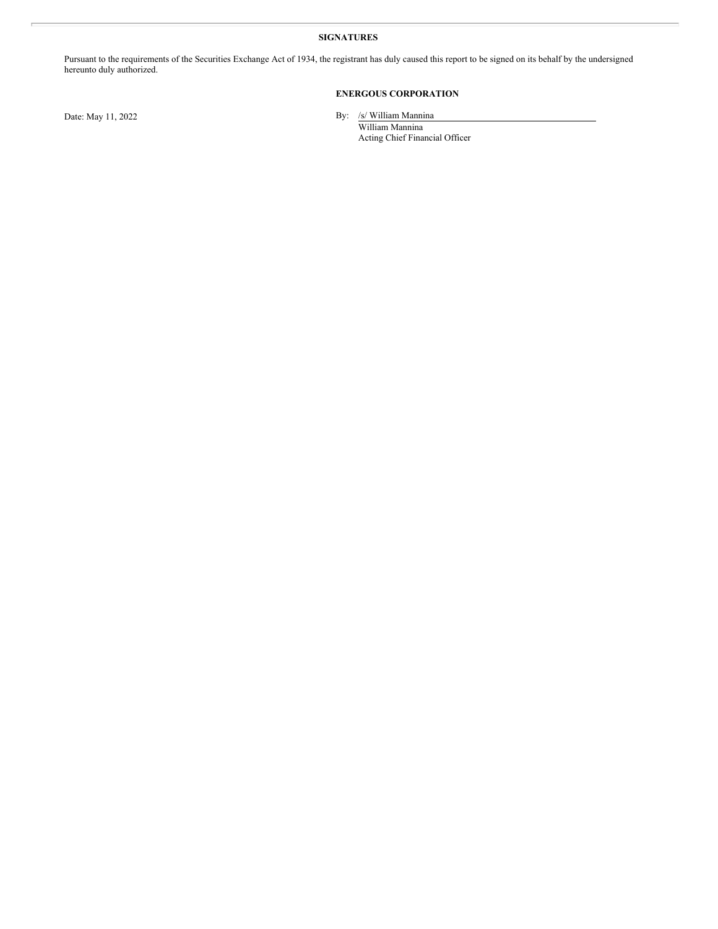#### **SIGNATURES**

Pursuant to the requirements of the Securities Exchange Act of 1934, the registrant has duly caused this report to be signed on its behalf by the undersigned hereunto duly authorized.

#### **ENERGOUS CORPORATION**

Date: May 11, 2022 By: /s/ William Mannina

William Mannina Acting Chief Financial Officer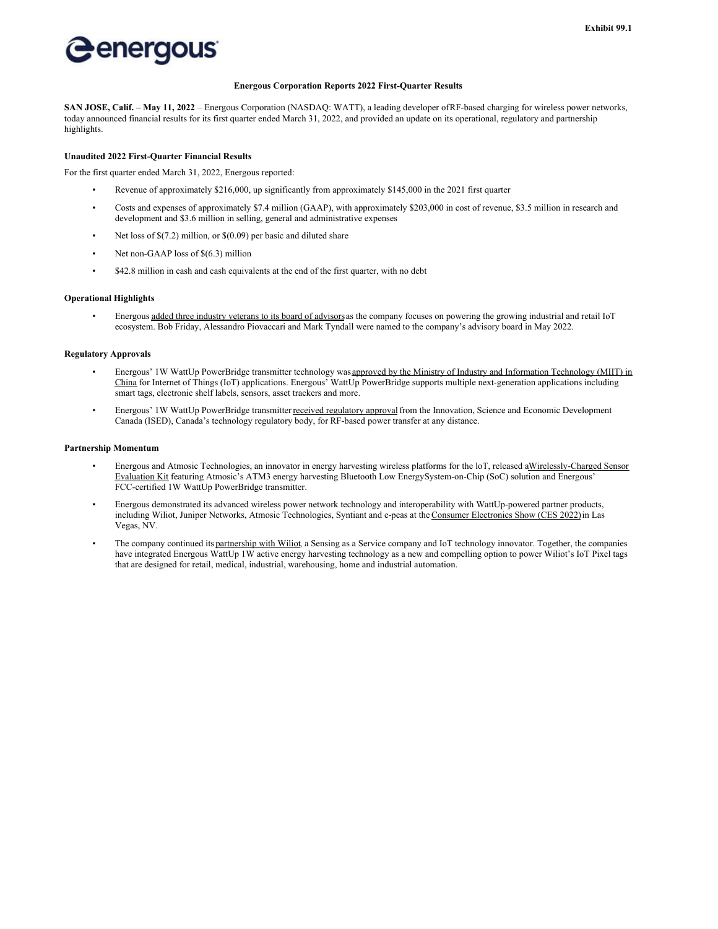### energous

#### **Energous Corporation Reports 2022 First-Quarter Results**

**SAN JOSE, Calif. – May 11, 2022** – Energous Corporation (NASDAQ: WATT), a leading developer ofRF-based charging for wireless power networks, today announced financial results for its first quarter ended March 31, 2022, and provided an update on its operational, regulatory and partnership highlights.

#### **Unaudited 2022 First-Quarter Financial Results**

For the first quarter ended March 31, 2022, Energous reported:

- Revenue of approximately \$216,000, up significantly from approximately \$145,000 in the 2021 first quarter
- Costs and expenses of approximately \$7.4 million (GAAP), with approximately \$203,000 in cost of revenue, \$3.5 million in research and development and \$3.6 million in selling, general and administrative expenses
- Net loss of \$(7.2) million, or \$(0.09) per basic and diluted share
- Net non-GAAP loss of \$(6.3) million
- \$42.8 million in cash and cash equivalents at the end of the first quarter, with no debt

#### **Operational Highlights**

Energous added three industry veterans to its board of advisors as the company focuses on powering the growing industrial and retail IoT ecosystem. Bob Friday, Alessandro Piovaccari and Mark Tyndall were named to the company's advisory board in May 2022.

#### **Regulatory Approvals**

- Energous' 1W WattUp PowerBridge transmitter technology was approved by the Ministry of Industry and Information Technology (MIIT) in China for Internet of Things (IoT) applications. Energous' WattUp PowerBridge supports multiple next-generation applications including smart tags, electronic shelf labels, sensors, asset trackers and more.
- Energous' 1W WattUp PowerBridge transmitter received regulatory approval from the Innovation, Science and Economic Development Canada (ISED), Canada's technology regulatory body, for RF-based power transfer at any distance.

#### **Partnership Momentum**

- Energous and Atmosic Technologies, an innovator in energy harvesting wireless platforms for the loT, released aWirelessly-Charged Sensor Evaluation Kit featuring Atmosic's ATM3 energy harvesting Bluetooth Low EnergySystem-on-Chip (SoC) solution and Energous' FCC-certified 1W WattUp PowerBridge transmitter.
- Energous demonstrated its advanced wireless power network technology and interoperability with WattUp-powered partner products, including Wiliot, Juniper Networks, Atmosic Technologies, Syntiant and e-peas at the Consumer Electronics Show (CES 2022) in Las Vegas, NV.
- The company continued its partnership with Wiliot, a Sensing as a Service company and IoT technology innovator. Together, the companies have integrated Energous WattUp 1W active energy harvesting technology as a new and compelling option to power Wiliot's IoT Pixel tags that are designed for retail, medical, industrial, warehousing, home and industrial automation.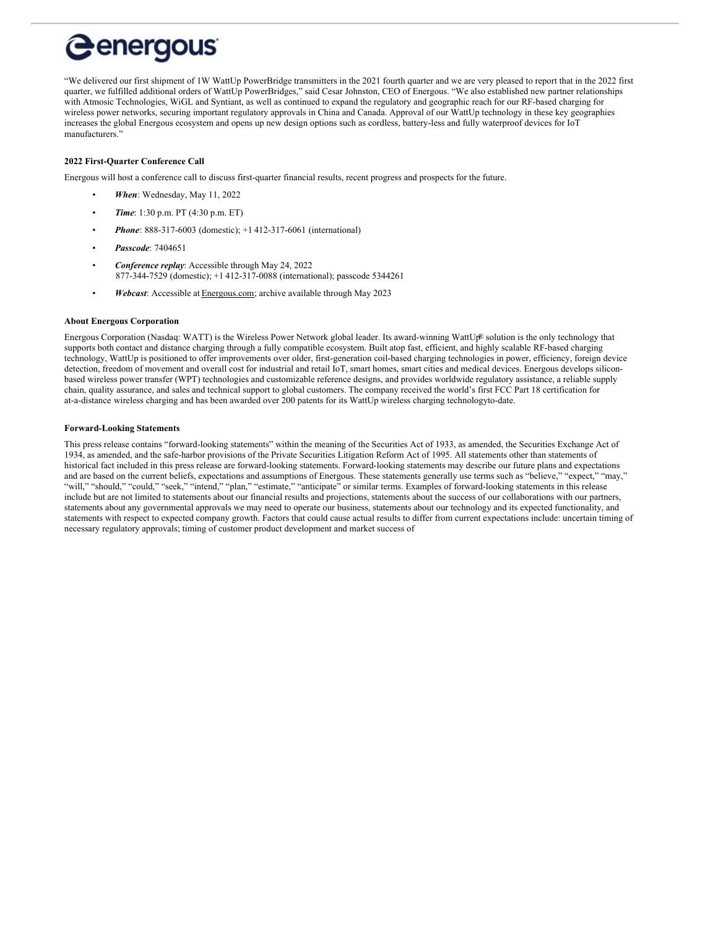# *<u>Genergous</u>*

"We delivered our first shipment of 1W WattUp PowerBridge transmitters in the 2021 fourth quarter and we are very pleased to report that in the 2022 first quarter, we fulfilled additional orders of WattUp PowerBridges," said Cesar Johnston, CEO of Energous. "We also established new partner relationships with Atmosic Technologies, WiGL and Syntiant, as well as continued to expand the regulatory and geographic reach for our RF-based charging for wireless power networks, securing important regulatory approvals in China and Canada. Approval of our WattUp technology in these key geographies increases the global Energous ecosystem and opens up new design options such as cordless, battery-less and fully waterproof devices for IoT manufacturers."

#### **2022 First-Quarter Conference Call**

Energous will host a conference call to discuss first-quarter financial results, recent progress and prospects for the future.

- *When*: Wednesday, May 11, 2022
- *Time*: 1:30 p.m. PT (4:30 p.m. ET)
- *Phone*: 888-317-6003 (domestic); +1 412-317-6061 (international)
- *Passcode*: 7404651
- *Conference replay*: Accessible through May 24, 2022 877-344-7529 (domestic); +1 412-317-0088 (international); passcode 5344261
- *Webcast*: Accessible at Energous.com; archive available through May 2023

#### **About Energous Corporation**

Energous Corporation (Nasdaq: WATT) is the Wireless Power Network global leader. Its award-winning WattUp® solution is the only technology that supports both contact and distance charging through a fully compatible ecosystem. Built atop fast, efficient, and highly scalable RF-based charging technology, WattUp is positioned to offer improvements over older, first-generation coil-based charging technologies in power, efficiency, foreign device detection, freedom of movement and overall cost for industrial and retail IoT, smart homes, smart cities and medical devices. Energous develops siliconbased wireless power transfer (WPT) technologies and customizable reference designs, and provides worldwide regulatory assistance, a reliable supply chain, quality assurance, and sales and technical support to global customers. The company received the world's first FCC Part 18 certification for at-a-distance wireless charging and has been awarded over 200 patents for its WattUp wireless charging technologyto-date.

#### **Forward-Looking Statements**

This press release contains "forward-looking statements" within the meaning of the Securities Act of 1933, as amended, the Securities Exchange Act of 1934, as amended, and the safe-harbor provisions of the Private Securities Litigation Reform Act of 1995. All statements other than statements of historical fact included in this press release are forward-looking statements. Forward-looking statements may describe our future plans and expectations and are based on the current beliefs, expectations and assumptions of Energous. These statements generally use terms such as "believe," "expect," "may," "will," "should," "could," "seek," "intend," "plan," "estimate," "anticipate" or similar terms. Examples of forward-looking statements in this release include but are not limited to statements about our financial results and projections, statements about the success of our collaborations with our partners, statements about any governmental approvals we may need to operate our business, statements about our technology and its expected functionality, and statements with respect to expected company growth. Factors that could cause actual results to differ from current expectations include: uncertain timing of necessary regulatory approvals; timing of customer product development and market success of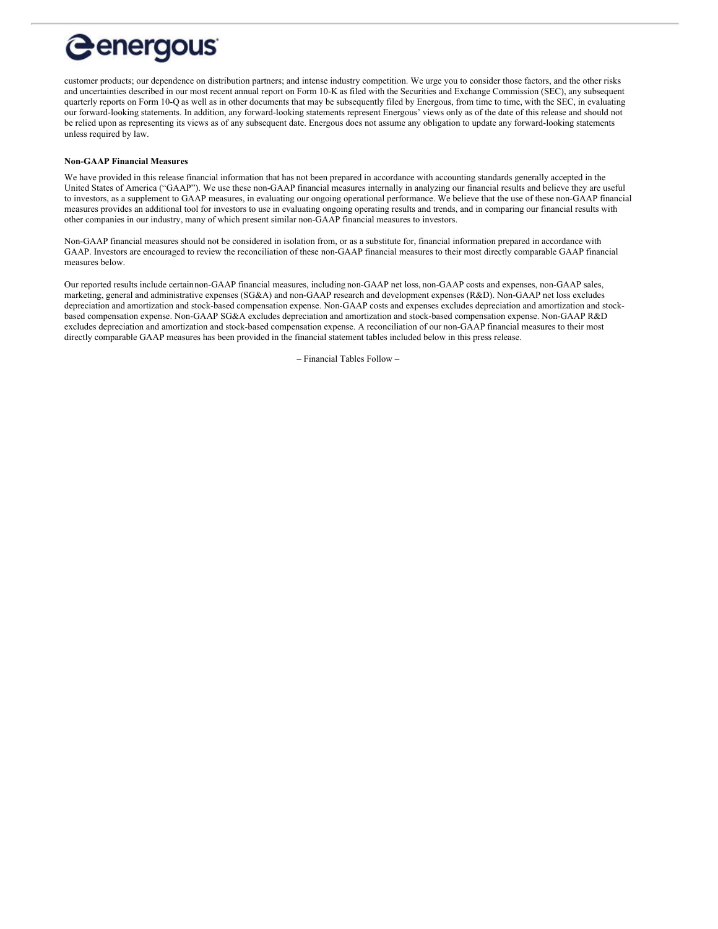# <span id="page-6-0"></span>*<u>Genergous</u>*

customer products; our dependence on distribution partners; and intense industry competition. We urge you to consider those factors, and the other risks and uncertainties described in our most recent annual report on Form 10-K as filed with the Securities and Exchange Commission (SEC), any subsequent quarterly reports on Form 10-Q as well as in other documents that may be subsequently filed by Energous, from time to time, with the SEC, in evaluating our forward-looking statements. In addition, any forward-looking statements represent Energous' views only as of the date of this release and should not be relied upon as representing its views as of any subsequent date. Energous does not assume any obligation to update any forward-looking statements unless required by law.

#### **Non-GAAP Financial Measures**

We have provided in this release financial information that has not been prepared in accordance with accounting standards generally accepted in the United States of America ("GAAP"). We use these non-GAAP financial measures internally in analyzing our financial results and believe they are useful to investors, as a supplement to GAAP measures, in evaluating our ongoing operational performance. We believe that the use of these non-GAAP financial measures provides an additional tool for investors to use in evaluating ongoing operating results and trends, and in comparing our financial results with other companies in our industry, many of which present similar non-GAAP financial measures to investors.

Non-GAAP financial measures should not be considered in isolation from, or as a substitute for, financial information prepared in accordance with GAAP. Investors are encouraged to review the reconciliation of these non-GAAP financial measures to their most directly comparable GAAP financial measures below.

Our reported results include certainnon-GAAP financial measures, including non-GAAP net loss, non-GAAP costs and expenses, non-GAAP sales, marketing, general and administrative expenses (SG&A) and non-GAAP research and development expenses (R&D). Non-GAAP net loss excludes depreciation and amortization and stock-based compensation expense. Non-GAAP costs and expenses excludes depreciation and amortization and stockbased compensation expense. Non-GAAP SG&A excludes depreciation and amortization and stock-based compensation expense. Non-GAAP R&D excludes depreciation and amortization and stock-based compensation expense. A reconciliation of our non-GAAP financial measures to their most directly comparable GAAP measures has been provided in the financial statement tables included below in this press release.

– Financial Tables Follow –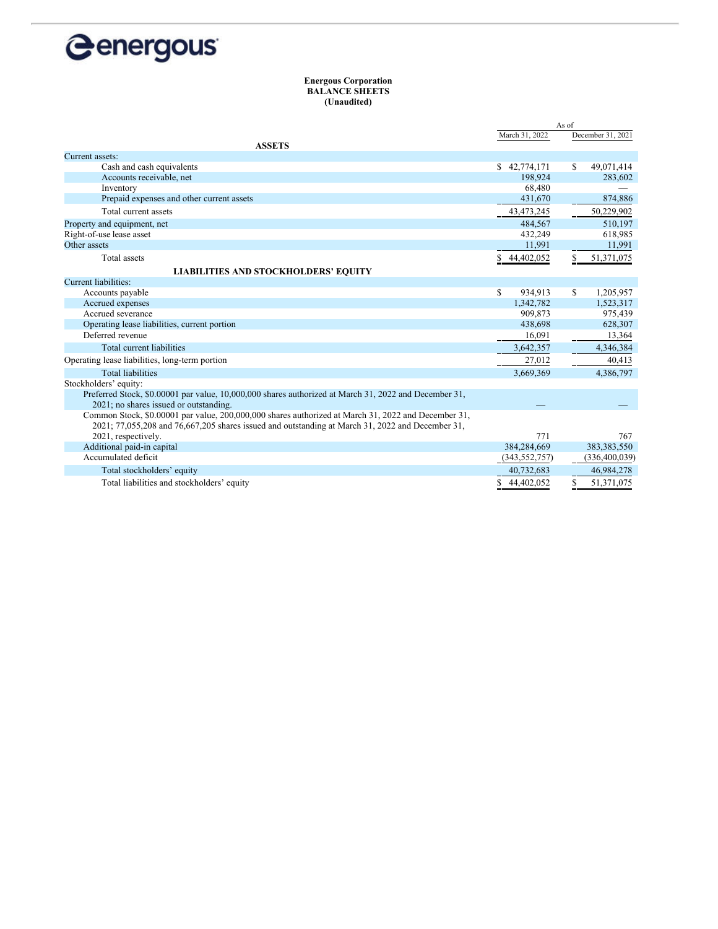

#### **Energous Corporation BALANCE SHEETS (Unaudited)**

|                                                                                                       |                 | As of             |
|-------------------------------------------------------------------------------------------------------|-----------------|-------------------|
|                                                                                                       | March 31, 2022  | December 31, 2021 |
| <b>ASSETS</b>                                                                                         |                 |                   |
| Current assets:                                                                                       |                 |                   |
| Cash and cash equivalents                                                                             | \$42,774,171    | 49,071,414<br>S   |
| Accounts receivable, net                                                                              | 198,924         | 283,602           |
| Inventory                                                                                             | 68,480          |                   |
| Prepaid expenses and other current assets                                                             | 431,670         | 874,886           |
| Total current assets                                                                                  | 43,473,245      | 50,229,902        |
| Property and equipment, net                                                                           | 484,567         | 510,197           |
| Right-of-use lease asset                                                                              | 432,249         | 618,985           |
| Other assets                                                                                          | 11,991          | 11,991            |
| Total assets                                                                                          | 44,402,052<br>S | \$<br>51,371,075  |
| <b>LIABILITIES AND STOCKHOLDERS' EQUITY</b>                                                           |                 |                   |
| Current liabilities:                                                                                  |                 |                   |
| Accounts payable                                                                                      | S.<br>934,913   | S.<br>1,205,957   |
| Accrued expenses                                                                                      | 1,342,782       | 1,523,317         |
| Accrued severance                                                                                     | 909,873         | 975,439           |
| Operating lease liabilities, current portion                                                          | 438,698         | 628,307           |
| Deferred revenue                                                                                      | 16,091          | 13,364            |
| Total current liabilities                                                                             | 3,642,357       | 4,346,384         |
| Operating lease liabilities, long-term portion                                                        | 27,012          | 40,413            |
| <b>Total liabilities</b>                                                                              | 3,669,369       | 4,386,797         |
| Stockholders' equity:                                                                                 |                 |                   |
| Preferred Stock, \$0.00001 par value, 10,000,000 shares authorized at March 31, 2022 and December 31, |                 |                   |
| 2021; no shares issued or outstanding.                                                                |                 |                   |
| Common Stock, \$0.00001 par value, 200,000,000 shares authorized at March 31, 2022 and December 31,   |                 |                   |
| 2021; 77,055,208 and 76,667,205 shares issued and outstanding at March 31, 2022 and December 31,      |                 |                   |
| 2021, respectively.                                                                                   | 771             | 767               |
| Additional paid-in capital                                                                            | 384,284,669     | 383, 383, 550     |
| Accumulated deficit                                                                                   | (343, 552, 757) | (336, 400, 039)   |
| Total stockholders' equity                                                                            | 40,732,683      | 46,984,278        |
| Total liabilities and stockholders' equity                                                            | \$44,402,052    | \$<br>51,371,075  |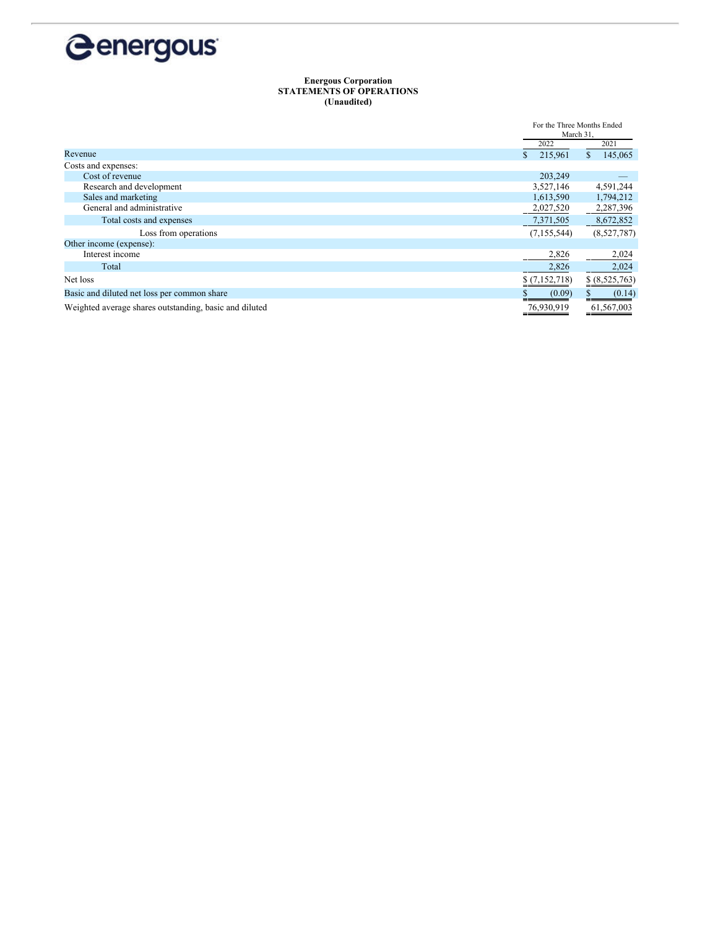

#### **Energous Corporation STATEMENTS OF OPERATIONS (Unaudited)**

|                                                        | For the Three Months Ended<br>March 31, |                |
|--------------------------------------------------------|-----------------------------------------|----------------|
|                                                        |                                         |                |
|                                                        | 2022                                    | 2021           |
| Revenue                                                | 215,961                                 | 145,065<br>\$  |
| Costs and expenses:                                    |                                         |                |
| Cost of revenue                                        | 203,249                                 |                |
| Research and development                               | 3,527,146                               | 4,591,244      |
| Sales and marketing                                    | 1,613,590                               | 1,794,212      |
| General and administrative                             | 2,027,520                               | 2,287,396      |
| Total costs and expenses                               | 7,371,505                               | 8,672,852      |
| Loss from operations                                   | (7, 155, 544)                           | (8,527,787)    |
| Other income (expense):                                |                                         |                |
| Interest income                                        | 2,826                                   | 2,024          |
| Total                                                  | 2,826                                   | 2,024          |
| Net loss                                               | \$(7,152,718)                           | \$ (8,525,763) |
| Basic and diluted net loss per common share            | (0.09)                                  | (0.14)         |
| Weighted average shares outstanding, basic and diluted | 76,930,919                              | 61,567,003     |